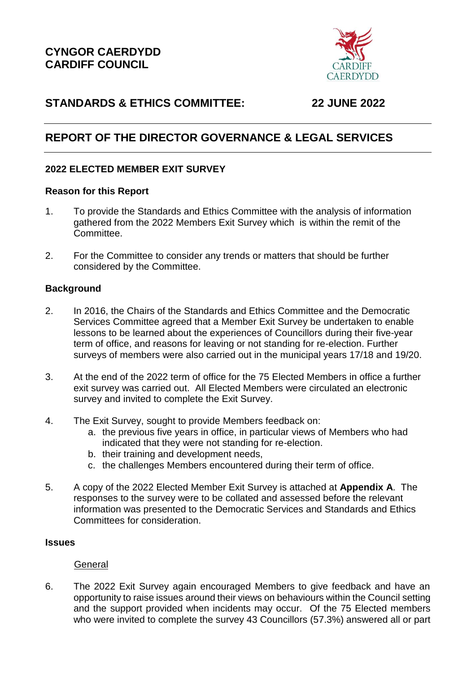

## **STANDARDS & ETHICS COMMITTEE: 22 JUNE 2022**

# **REPORT OF THE DIRECTOR GOVERNANCE & LEGAL SERVICES**

## **2022 ELECTED MEMBER EXIT SURVEY**

## **Reason for this Report**

- 1. To provide the Standards and Ethics Committee with the analysis of information gathered from the 2022 Members Exit Survey which is within the remit of the Committee.
- 2. For the Committee to consider any trends or matters that should be further considered by the Committee.

## **Background**

- 2. In 2016, the Chairs of the Standards and Ethics Committee and the Democratic Services Committee agreed that a Member Exit Survey be undertaken to enable lessons to be learned about the experiences of Councillors during their five-year term of office, and reasons for leaving or not standing for re-election. Further surveys of members were also carried out in the municipal years 17/18 and 19/20.
- 3. At the end of the 2022 term of office for the 75 Elected Members in office a further exit survey was carried out. All Elected Members were circulated an electronic survey and invited to complete the Exit Survey.
- 4. The Exit Survey, sought to provide Members feedback on:
	- a. the previous five years in office, in particular views of Members who had indicated that they were not standing for re-election.
	- b. their training and development needs,
	- c. the challenges Members encountered during their term of office.
- 5. A copy of the 2022 Elected Member Exit Survey is attached at **Appendix A**. The responses to the survey were to be collated and assessed before the relevant information was presented to the Democratic Services and Standards and Ethics Committees for consideration.

## **Issues**

## **General**

6. The 2022 Exit Survey again encouraged Members to give feedback and have an opportunity to raise issues around their views on behaviours within the Council setting and the support provided when incidents may occur. Of the 75 Elected members who were invited to complete the survey 43 Councillors (57.3%) answered all or part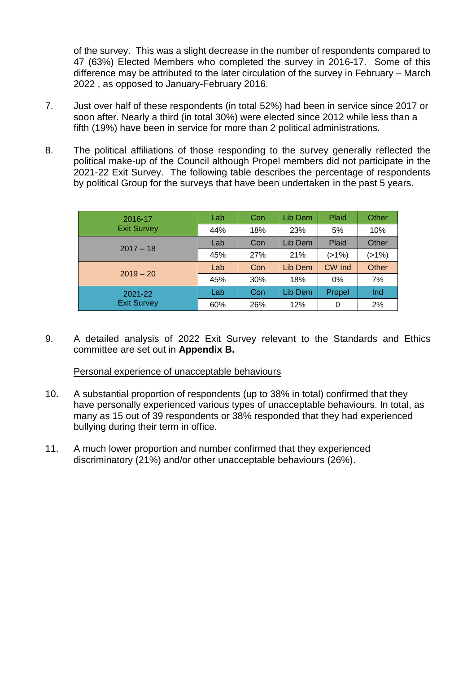of the survey. This was a slight decrease in the number of respondents compared to 47 (63%) Elected Members who completed the survey in 2016-17. Some of this difference may be attributed to the later circulation of the survey in February – March 2022 , as opposed to January-February 2016.

- 7. Just over half of these respondents (in total 52%) had been in service since 2017 or soon after. Nearly a third (in total 30%) were elected since 2012 while less than a fifth (19%) have been in service for more than 2 political administrations.
- 8. The political affiliations of those responding to the survey generally reflected the political make-up of the Council although Propel members did not participate in the 2021-22 Exit Survey. The following table describes the percentage of respondents by political Group for the surveys that have been undertaken in the past 5 years.

| 2016-17<br><b>Exit Survey</b> | Lab | Con | Lib Dem | Plaid  | Other |
|-------------------------------|-----|-----|---------|--------|-------|
|                               | 44% | 18% | 23%     | 5%     | 10%   |
| $2017 - 18$                   | Lab | Con | Lib Dem | Plaid  | Other |
|                               | 45% | 27% | 21%     | (>1%)  | (>1%) |
| $2019 - 20$                   | Lab | Con | Lib Dem | CW Ind | Other |
|                               | 45% | 30% | 18%     | 0%     | 7%    |
| 2021-22<br><b>Exit Survey</b> | Lab | Con | Lib Dem | Propel | Ind   |
|                               | 60% | 26% | 12%     | 0      | 2%    |

9. A detailed analysis of 2022 Exit Survey relevant to the Standards and Ethics committee are set out in **Appendix B.**

## Personal experience of unacceptable behaviours

- 10. A substantial proportion of respondents (up to 38% in total) confirmed that they have personally experienced various types of unacceptable behaviours. In total, as many as 15 out of 39 respondents or 38% responded that they had experienced bullying during their term in office.
- 11. A much lower proportion and number confirmed that they experienced discriminatory (21%) and/or other unacceptable behaviours (26%).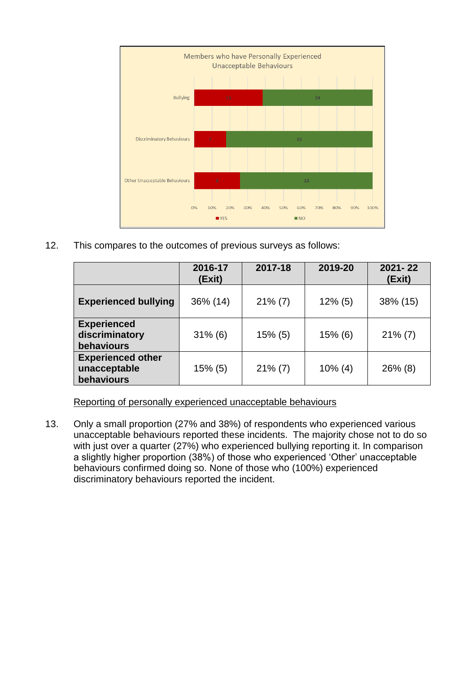

12. This compares to the outcomes of previous surveys as follows:

|                                                        | 2016-17<br>(Exit) | 2017-18    | 2019-20    | $2021 - 22$<br>(Exit) |
|--------------------------------------------------------|-------------------|------------|------------|-----------------------|
| <b>Experienced bullying</b>                            | 36% (14)          | $21\%$ (7) | $12\%$ (5) | 38% (15)              |
| <b>Experienced</b><br>discriminatory<br>behaviours     | $31\%$ (6)        | $15\%$ (5) | $15%$ (6)  | $21\%$ (7)            |
| <b>Experienced other</b><br>unacceptable<br>behaviours | $15\%$ (5)        | $21\%$ (7) | $10\%$ (4) | $26\%$ (8)            |

Reporting of personally experienced unacceptable behaviours

13. Only a small proportion (27% and 38%) of respondents who experienced various unacceptable behaviours reported these incidents. The majority chose not to do so with just over a quarter (27%) who experienced bullying reporting it. In comparison a slightly higher proportion (38%) of those who experienced 'Other' unacceptable behaviours confirmed doing so. None of those who (100%) experienced discriminatory behaviours reported the incident.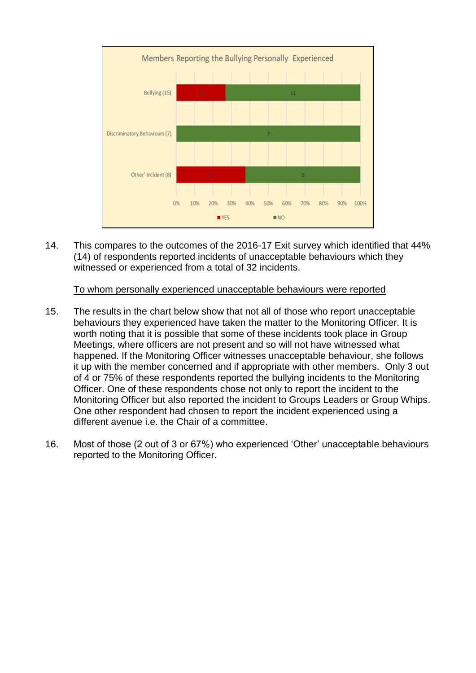

14. This compares to the outcomes of the 2016-17 Exit survey which identified that 44% (14) of respondents reported incidents of unacceptable behaviours which they witnessed or experienced from a total of 32 incidents.

#### To whom personally experienced unacceptable behaviours were reported

- 15. The results in the chart below show that not all of those who report unacceptable behaviours they experienced have taken the matter to the Monitoring Officer. It is worth noting that it is possible that some of these incidents took place in Group Meetings, where officers are not present and so will not have witnessed what happened. If the Monitoring Officer witnesses unacceptable behaviour, she follows it up with the member concerned and if appropriate with other members. Only 3 out of 4 or 75% of these respondents reported the bullying incidents to the Monitoring Officer. One of these respondents chose not only to report the incident to the Monitoring Officer but also reported the incident to Groups Leaders or Group Whips. One other respondent had chosen to report the incident experienced using a different avenue i.e. the Chair of a committee.
- 16. Most of those (2 out of 3 or 67%) who experienced 'Other' unacceptable behaviours reported to the Monitoring Officer.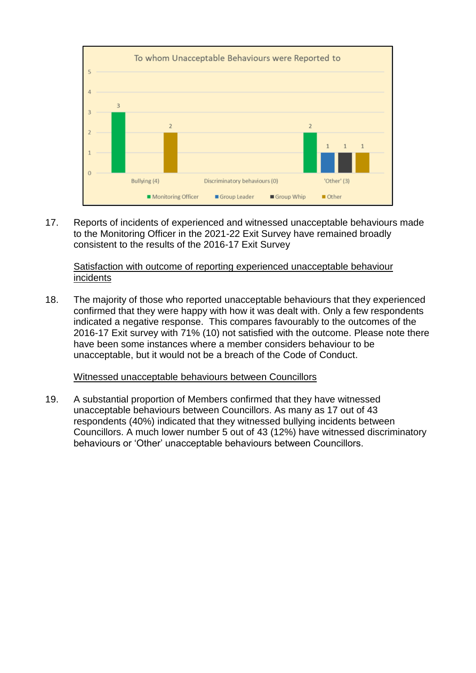

17. Reports of incidents of experienced and witnessed unacceptable behaviours made to the Monitoring Officer in the 2021-22 Exit Survey have remained broadly consistent to the results of the 2016-17 Exit Survey

## Satisfaction with outcome of reporting experienced unacceptable behaviour incidents

18. The majority of those who reported unacceptable behaviours that they experienced confirmed that they were happy with how it was dealt with. Only a few respondents indicated a negative response. This compares favourably to the outcomes of the 2016-17 Exit survey with 71% (10) not satisfied with the outcome. Please note there have been some instances where a member considers behaviour to be unacceptable, but it would not be a breach of the Code of Conduct.

## Witnessed unacceptable behaviours between Councillors

19. A substantial proportion of Members confirmed that they have witnessed unacceptable behaviours between Councillors. As many as 17 out of 43 respondents (40%) indicated that they witnessed bullying incidents between Councillors. A much lower number 5 out of 43 (12%) have witnessed discriminatory behaviours or 'Other' unacceptable behaviours between Councillors.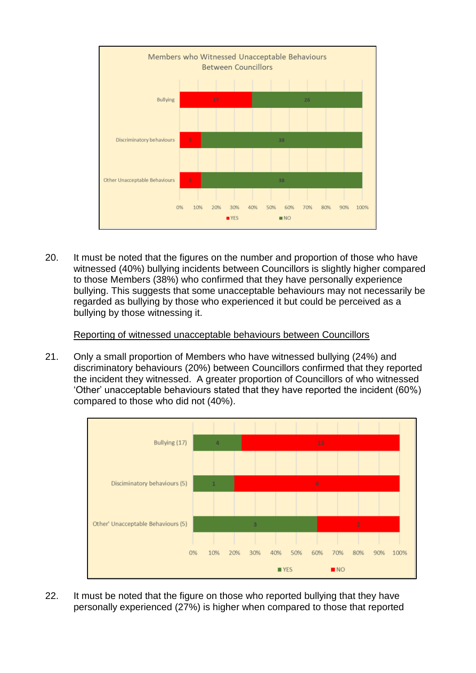

20. It must be noted that the figures on the number and proportion of those who have witnessed (40%) bullying incidents between Councillors is slightly higher compared to those Members (38%) who confirmed that they have personally experience bullying. This suggests that some unacceptable behaviours may not necessarily be regarded as bullying by those who experienced it but could be perceived as a bullying by those witnessing it.

Reporting of witnessed unacceptable behaviours between Councillors

21. Only a small proportion of Members who have witnessed bullying (24%) and discriminatory behaviours (20%) between Councillors confirmed that they reported the incident they witnessed. A greater proportion of Councillors of who witnessed 'Other' unacceptable behaviours stated that they have reported the incident (60%) compared to those who did not (40%).



22. It must be noted that the figure on those who reported bullying that they have personally experienced (27%) is higher when compared to those that reported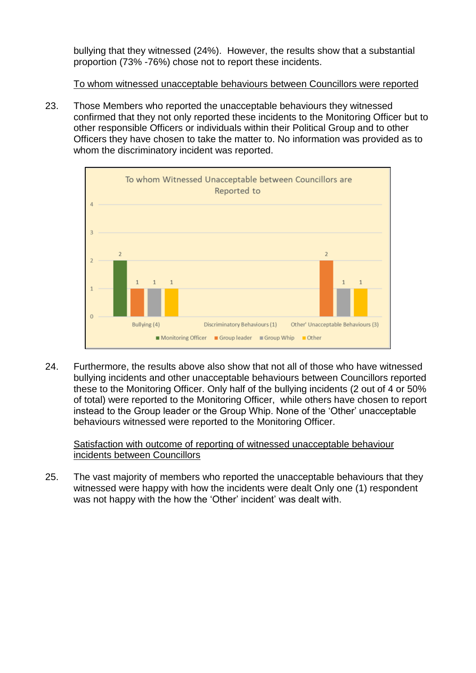bullying that they witnessed (24%). However, the results show that a substantial proportion (73% -76%) chose not to report these incidents.

To whom witnessed unacceptable behaviours between Councillors were reported

23. Those Members who reported the unacceptable behaviours they witnessed confirmed that they not only reported these incidents to the Monitoring Officer but to other responsible Officers or individuals within their Political Group and to other Officers they have chosen to take the matter to. No information was provided as to whom the discriminatory incident was reported.



24. Furthermore, the results above also show that not all of those who have witnessed bullying incidents and other unacceptable behaviours between Councillors reported these to the Monitoring Officer. Only half of the bullying incidents (2 out of 4 or 50% of total) were reported to the Monitoring Officer, while others have chosen to report instead to the Group leader or the Group Whip. None of the 'Other' unacceptable behaviours witnessed were reported to the Monitoring Officer.

## Satisfaction with outcome of reporting of witnessed unacceptable behaviour incidents between Councillors

25. The vast majority of members who reported the unacceptable behaviours that they witnessed were happy with how the incidents were dealt Only one (1) respondent was not happy with the how the 'Other' incident' was dealt with.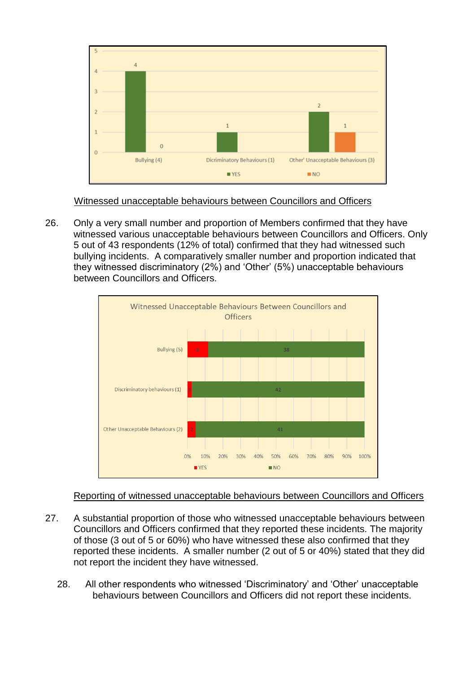

Witnessed unacceptable behaviours between Councillors and Officers

26. Only a very small number and proportion of Members confirmed that they have witnessed various unacceptable behaviours between Councillors and Officers. Only 5 out of 43 respondents (12% of total) confirmed that they had witnessed such bullying incidents. A comparatively smaller number and proportion indicated that they witnessed discriminatory (2%) and 'Other' (5%) unacceptable behaviours between Councillors and Officers.



## Reporting of witnessed unacceptable behaviours between Councillors and Officers

- 27. A substantial proportion of those who witnessed unacceptable behaviours between Councillors and Officers confirmed that they reported these incidents. The majority of those (3 out of 5 or 60%) who have witnessed these also confirmed that they reported these incidents. A smaller number (2 out of 5 or 40%) stated that they did not report the incident they have witnessed.
	- 28. All other respondents who witnessed 'Discriminatory' and 'Other' unacceptable behaviours between Councillors and Officers did not report these incidents.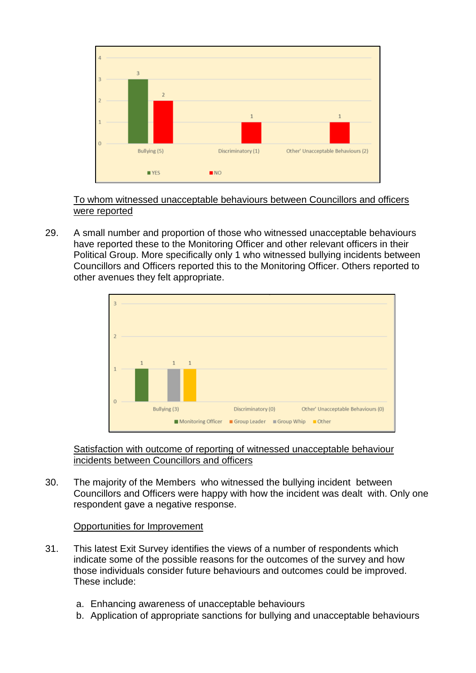

To whom witnessed unacceptable behaviours between Councillors and officers were reported

29. A small number and proportion of those who witnessed unacceptable behaviours have reported these to the Monitoring Officer and other relevant officers in their Political Group. More specifically only 1 who witnessed bullying incidents between Councillors and Officers reported this to the Monitoring Officer. Others reported to other avenues they felt appropriate.



Satisfaction with outcome of reporting of witnessed unacceptable behaviour incidents between Councillors and officers

30. The majority of the Members who witnessed the bullying incident between Councillors and Officers were happy with how the incident was dealt with. Only one respondent gave a negative response.

## Opportunities for Improvement

- 31. This latest Exit Survey identifies the views of a number of respondents which indicate some of the possible reasons for the outcomes of the survey and how those individuals consider future behaviours and outcomes could be improved. These include:
	- a. Enhancing awareness of unacceptable behaviours
	- b. Application of appropriate sanctions for bullying and unacceptable behaviours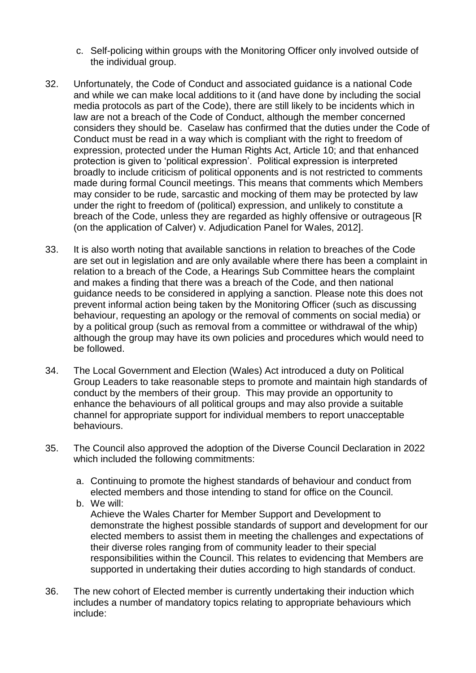- c. Self-policing within groups with the Monitoring Officer only involved outside of the individual group.
- 32. Unfortunately, the Code of Conduct and associated guidance is a national Code and while we can make local additions to it (and have done by including the social media protocols as part of the Code), there are still likely to be incidents which in law are not a breach of the Code of Conduct, although the member concerned considers they should be. Caselaw has confirmed that the duties under the Code of Conduct must be read in a way which is compliant with the right to freedom of expression, protected under the Human Rights Act, Article 10; and that enhanced protection is given to 'political expression'. Political expression is interpreted broadly to include criticism of political opponents and is not restricted to comments made during formal Council meetings. This means that comments which Members may consider to be rude, sarcastic and mocking of them may be protected by law under the right to freedom of (political) expression, and unlikely to constitute a breach of the Code, unless they are regarded as highly offensive or outrageous [R (on the application of Calver) v. Adjudication Panel for Wales, 2012].
- 33. It is also worth noting that available sanctions in relation to breaches of the Code are set out in legislation and are only available where there has been a complaint in relation to a breach of the Code, a Hearings Sub Committee hears the complaint and makes a finding that there was a breach of the Code, and then national guidance needs to be considered in applying a sanction. Please note this does not prevent informal action being taken by the Monitoring Officer (such as discussing behaviour, requesting an apology or the removal of comments on social media) or by a political group (such as removal from a committee or withdrawal of the whip) although the group may have its own policies and procedures which would need to be followed.
- 34. The Local Government and Election (Wales) Act introduced a duty on Political Group Leaders to take reasonable steps to promote and maintain high standards of conduct by the members of their group. This may provide an opportunity to enhance the behaviours of all political groups and may also provide a suitable channel for appropriate support for individual members to report unacceptable behaviours.
- 35. The Council also approved the adoption of the Diverse Council Declaration in 2022 which included the following commitments:
	- a. Continuing to promote the highest standards of behaviour and conduct from elected members and those intending to stand for office on the Council.
	- b. We will: Achieve the Wales Charter for Member Support and Development to demonstrate the highest possible standards of support and development for our elected members to assist them in meeting the challenges and expectations of their diverse roles ranging from of community leader to their special responsibilities within the Council. This relates to evidencing that Members are supported in undertaking their duties according to high standards of conduct.
- 36. The new cohort of Elected member is currently undertaking their induction which includes a number of mandatory topics relating to appropriate behaviours which include: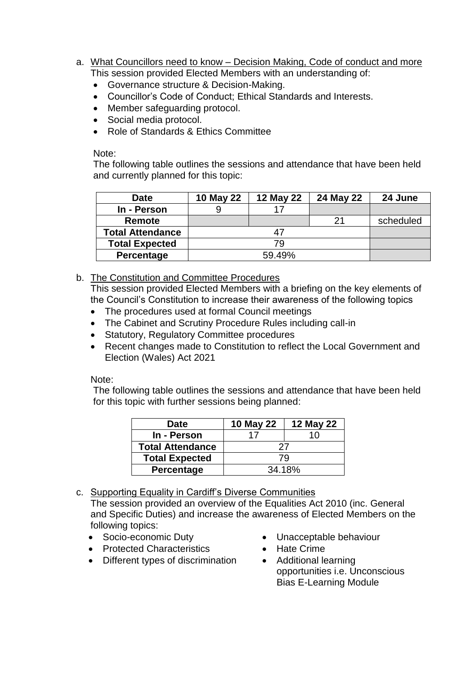- a. What Councillors need to know Decision Making, Code of conduct and more This session provided Elected Members with an understanding of:
	- Governance structure & Decision-Making.
	- Councillor's Code of Conduct; Ethical Standards and Interests.
	- Member safeguarding protocol.
	- Social media protocol.
	- Role of Standards & Ethics Committee

Note:

The following table outlines the sessions and attendance that have been held and currently planned for this topic:

| <b>Date</b>             | 10 May 22 | 12 May 22 | 24 May 22 | 24 June   |
|-------------------------|-----------|-----------|-----------|-----------|
| In - Person             |           |           |           |           |
| <b>Remote</b>           |           |           | 21        | scheduled |
| <b>Total Attendance</b> |           |           |           |           |
| <b>Total Expected</b>   | 79        |           |           |           |
| Percentage              |           | 59.49%    |           |           |

b. The Constitution and Committee Procedures

This session provided Elected Members with a briefing on the key elements of the Council's Constitution to increase their awareness of the following topics

- The procedures used at formal Council meetings
- The Cabinet and Scrutiny Procedure Rules including call-in
- Statutory, Regulatory Committee procedures
- Recent changes made to Constitution to reflect the Local Government and Election (Wales) Act 2021

Note:

The following table outlines the sessions and attendance that have been held for this topic with further sessions being planned:

| <b>Date</b>             | 10 May 22 | 12 May 22 |  |
|-------------------------|-----------|-----------|--|
| In - Person             | 17        | 10        |  |
| <b>Total Attendance</b> | 27        |           |  |
| <b>Total Expected</b>   | 79        |           |  |
| Percentage              | 34.18%    |           |  |

c. Supporting Equality in Cardiff's Diverse Communities

The session provided an overview of the Equalities Act 2010 (inc. General and Specific Duties) and increase the awareness of Elected Members on the following topics:

- Socio-economic Duty
- Unacceptable behaviour

• Hate Crime

- Protected Characteristics
- Different types of discrimination
- Additional learning opportunities i.e. Unconscious Bias E-Learning Module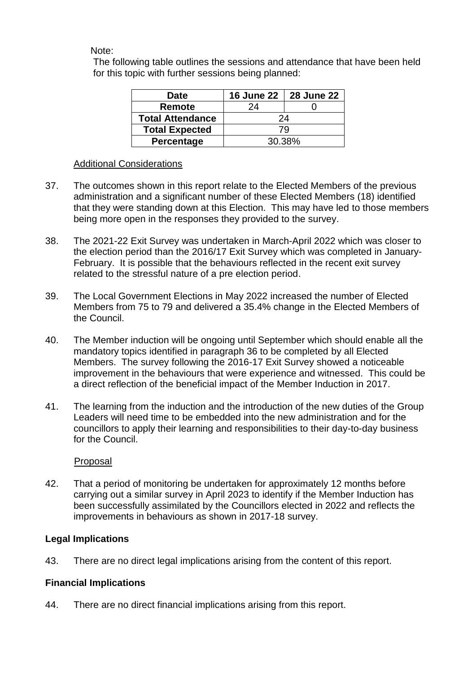Note:

The following table outlines the sessions and attendance that have been held for this topic with further sessions being planned:

| <b>Date</b>             | <b>16 June 22</b> | <b>28 June 22</b> |  |
|-------------------------|-------------------|-------------------|--|
| Remote                  | 24                |                   |  |
| <b>Total Attendance</b> | 24                |                   |  |
| <b>Total Expected</b>   | 79                |                   |  |
| <b>Percentage</b>       | 30.38%            |                   |  |

## Additional Considerations

- 37. The outcomes shown in this report relate to the Elected Members of the previous administration and a significant number of these Elected Members (18) identified that they were standing down at this Election. This may have led to those members being more open in the responses they provided to the survey.
- 38. The 2021-22 Exit Survey was undertaken in March-April 2022 which was closer to the election period than the 2016/17 Exit Survey which was completed in January-February. It is possible that the behaviours reflected in the recent exit survey related to the stressful nature of a pre election period.
- 39. The Local Government Elections in May 2022 increased the number of Elected Members from 75 to 79 and delivered a 35.4% change in the Elected Members of the Council.
- 40. The Member induction will be ongoing until September which should enable all the mandatory topics identified in paragraph 36 to be completed by all Elected Members. The survey following the 2016-17 Exit Survey showed a noticeable improvement in the behaviours that were experience and witnessed. This could be a direct reflection of the beneficial impact of the Member Induction in 2017.
- 41. The learning from the induction and the introduction of the new duties of the Group Leaders will need time to be embedded into the new administration and for the councillors to apply their learning and responsibilities to their day-to-day business for the Council.

## Proposal

42. That a period of monitoring be undertaken for approximately 12 months before carrying out a similar survey in April 2023 to identify if the Member Induction has been successfully assimilated by the Councillors elected in 2022 and reflects the improvements in behaviours as shown in 2017-18 survey.

## **Legal Implications**

43. There are no direct legal implications arising from the content of this report.

## **Financial Implications**

44. There are no direct financial implications arising from this report.